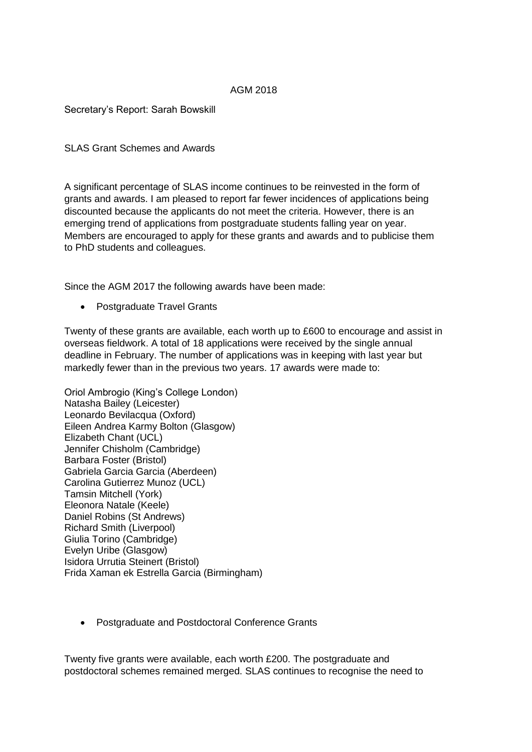# AGM 2018

Secretary's Report: Sarah Bowskill

SLAS Grant Schemes and Awards

A significant percentage of SLAS income continues to be reinvested in the form of grants and awards. I am pleased to report far fewer incidences of applications being discounted because the applicants do not meet the criteria. However, there is an emerging trend of applications from postgraduate students falling year on year. Members are encouraged to apply for these grants and awards and to publicise them to PhD students and colleagues.

Since the AGM 2017 the following awards have been made:

• Postgraduate Travel Grants

Twenty of these grants are available, each worth up to £600 to encourage and assist in overseas fieldwork. A total of 18 applications were received by the single annual deadline in February. The number of applications was in keeping with last year but markedly fewer than in the previous two years. 17 awards were made to:

Oriol Ambrogio (King's College London) Natasha Bailey (Leicester) Leonardo Bevilacqua (Oxford) Eileen Andrea Karmy Bolton (Glasgow) Elizabeth Chant (UCL) Jennifer Chisholm (Cambridge) Barbara Foster (Bristol) Gabriela Garcia Garcia (Aberdeen) Carolina Gutierrez Munoz (UCL) Tamsin Mitchell (York) Eleonora Natale (Keele) Daniel Robins (St Andrews) Richard Smith (Liverpool) Giulia Torino (Cambridge) Evelyn Uribe (Glasgow) Isidora Urrutia Steinert (Bristol) Frida Xaman ek Estrella Garcia (Birmingham)

Postgraduate and Postdoctoral Conference Grants

Twenty five grants were available, each worth £200. The postgraduate and postdoctoral schemes remained merged. SLAS continues to recognise the need to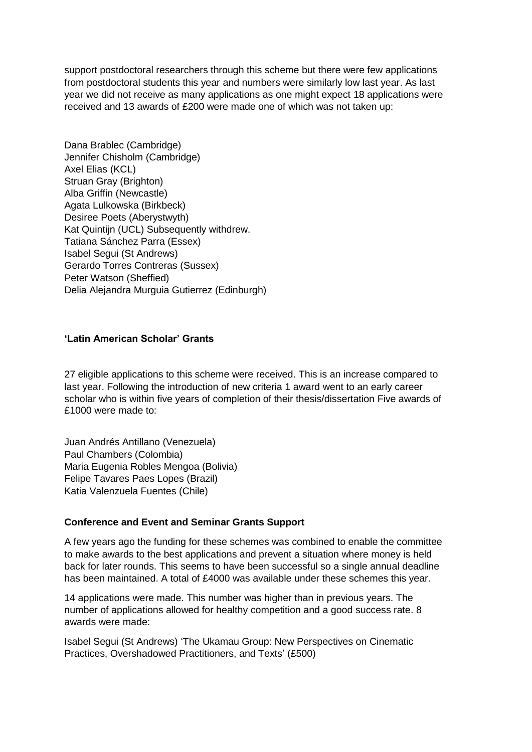support postdoctoral researchers through this scheme but there were few applications from postdoctoral students this year and numbers were similarly low last year. As last year we did not receive as many applications as one might expect 18 applications were received and 13 awards of £200 were made one of which was not taken up:

Dana Brablec (Cambridge) Jennifer Chisholm (Cambridge) Axel Elias (KCL) Struan Gray (Brighton) Alba Griffin (Newcastle) Agata Lulkowska (Birkbeck) Desiree Poets (Aberystwyth) Kat Quintijn (UCL) Subsequently withdrew. Tatiana Sánchez Parra (Essex) Isabel Segui (St Andrews) Gerardo Torres Contreras (Sussex) Peter Watson (Sheffied) Delia Alejandra Murguia Gutierrez (Edinburgh)

### **'Latin American Scholar' Grants**

27 eligible applications to this scheme were received. This is an increase compared to last year. Following the introduction of new criteria 1 award went to an early career scholar who is within five years of completion of their thesis/dissertation Five awards of £1000 were made to:

Juan Andrés Antillano (Venezuela) Paul Chambers (Colombia) Maria Eugenia Robles Mengoa (Bolivia) Felipe Tavares Paes Lopes (Brazil) Katia Valenzuela Fuentes (Chile)

#### **Conference and Event and Seminar Grants Support**

A few years ago the funding for these schemes was combined to enable the committee to make awards to the best applications and prevent a situation where money is held back for later rounds. This seems to have been successful so a single annual deadline has been maintained. A total of £4000 was available under these schemes this year.

14 applications were made. This number was higher than in previous years. The number of applications allowed for healthy competition and a good success rate. 8 awards were made:

Isabel Segui (St Andrews) 'The Ukamau Group: New Perspectives on Cinematic Practices, Overshadowed Practitioners, and Texts' (£500)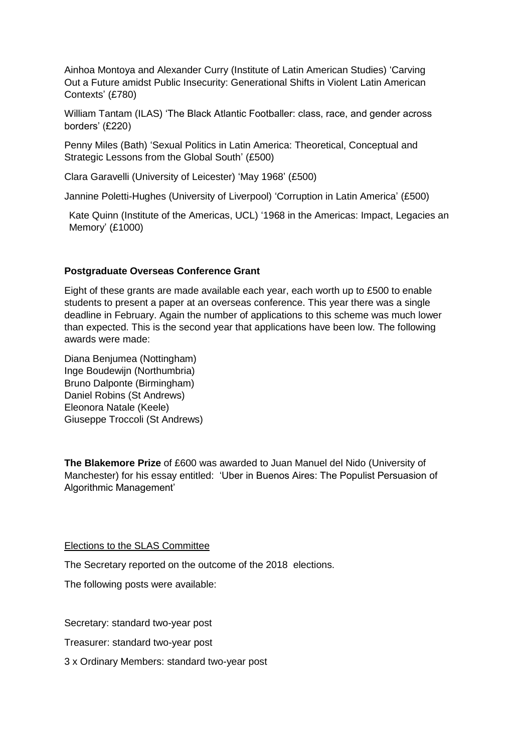Ainhoa Montoya and Alexander Curry (Institute of Latin American Studies) 'Carving Out a Future amidst Public Insecurity: Generational Shifts in Violent Latin American Contexts' (£780)

William Tantam (ILAS) 'The Black Atlantic Footballer: class, race, and gender across borders' (£220)

Penny Miles (Bath) 'Sexual Politics in Latin America: Theoretical, Conceptual and Strategic Lessons from the Global South' (£500)

Clara Garavelli (University of Leicester) 'May 1968' (£500)

Jannine Poletti-Hughes (University of Liverpool) 'Corruption in Latin America' (£500)

Kate Quinn (Institute of the Americas, UCL) '1968 in the Americas: Impact, Legacies an Memory' (£1000)

## **Postgraduate Overseas Conference Grant**

Eight of these grants are made available each year, each worth up to £500 to enable students to present a paper at an overseas conference. This year there was a single deadline in February. Again the number of applications to this scheme was much lower than expected. This is the second year that applications have been low. The following awards were made:

Diana Benjumea (Nottingham) Inge Boudewijn (Northumbria) Bruno Dalponte (Birmingham) Daniel Robins (St Andrews) Eleonora Natale (Keele) Giuseppe Troccoli (St Andrews)

**The Blakemore Prize** of £600 was awarded to Juan Manuel del Nido (University of Manchester) for his essay entitled: 'Uber in Buenos Aires: The Populist Persuasion of Algorithmic Management'

#### Elections to the SLAS Committee

The Secretary reported on the outcome of the 2018 elections.

The following posts were available:

Secretary: standard two-year post

Treasurer: standard two-year post

3 x Ordinary Members: standard two-year post